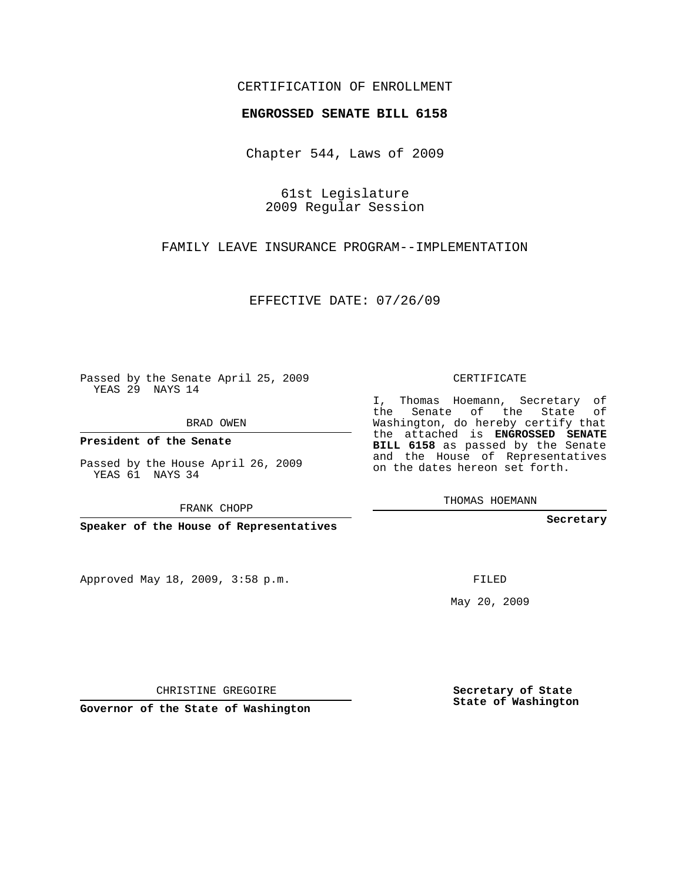## CERTIFICATION OF ENROLLMENT

## **ENGROSSED SENATE BILL 6158**

Chapter 544, Laws of 2009

61st Legislature 2009 Regular Session

FAMILY LEAVE INSURANCE PROGRAM--IMPLEMENTATION

EFFECTIVE DATE: 07/26/09

Passed by the Senate April 25, 2009 YEAS 29 NAYS 14

BRAD OWEN

**President of the Senate**

Passed by the House April 26, 2009 YEAS 61 NAYS 34

FRANK CHOPP

**Speaker of the House of Representatives**

Approved May 18, 2009, 3:58 p.m.

CERTIFICATE

I, Thomas Hoemann, Secretary of the Senate of the State of Washington, do hereby certify that the attached is **ENGROSSED SENATE BILL 6158** as passed by the Senate and the House of Representatives on the dates hereon set forth.

THOMAS HOEMANN

**Secretary**

FILED

May 20, 2009

**Secretary of State State of Washington**

CHRISTINE GREGOIRE

**Governor of the State of Washington**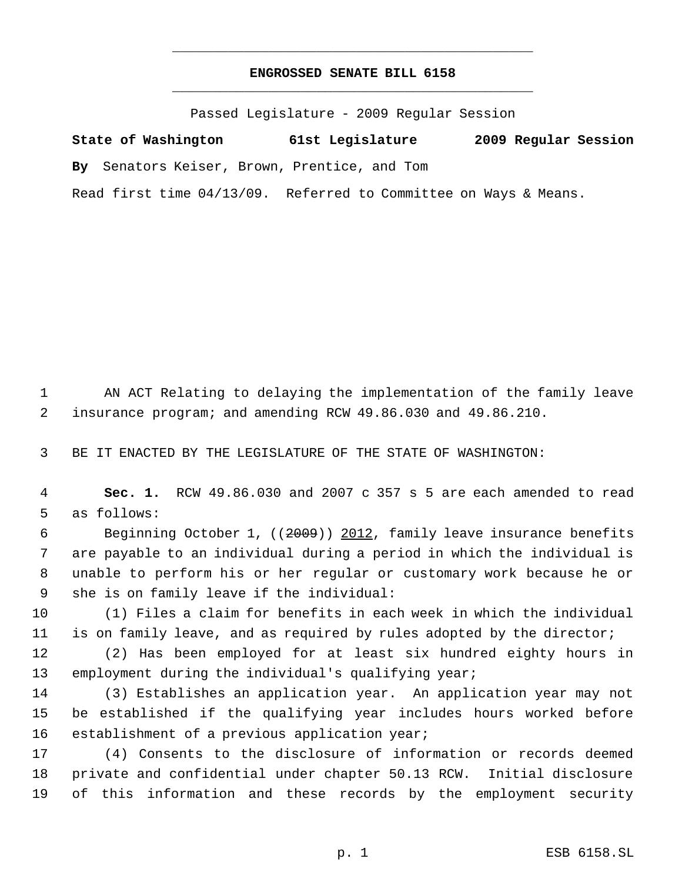## **ENGROSSED SENATE BILL 6158** \_\_\_\_\_\_\_\_\_\_\_\_\_\_\_\_\_\_\_\_\_\_\_\_\_\_\_\_\_\_\_\_\_\_\_\_\_\_\_\_\_\_\_\_\_

\_\_\_\_\_\_\_\_\_\_\_\_\_\_\_\_\_\_\_\_\_\_\_\_\_\_\_\_\_\_\_\_\_\_\_\_\_\_\_\_\_\_\_\_\_

Passed Legislature - 2009 Regular Session

**State of Washington 61st Legislature 2009 Regular Session By** Senators Keiser, Brown, Prentice, and Tom Read first time 04/13/09. Referred to Committee on Ways & Means.

 AN ACT Relating to delaying the implementation of the family leave insurance program; and amending RCW 49.86.030 and 49.86.210.

BE IT ENACTED BY THE LEGISLATURE OF THE STATE OF WASHINGTON:

 **Sec. 1.** RCW 49.86.030 and 2007 c 357 s 5 are each amended to read as follows:

 Beginning October 1, ((2009)) 2012, family leave insurance benefits are payable to an individual during a period in which the individual is unable to perform his or her regular or customary work because he or she is on family leave if the individual:

 (1) Files a claim for benefits in each week in which the individual is on family leave, and as required by rules adopted by the director;

 (2) Has been employed for at least six hundred eighty hours in 13 employment during the individual's qualifying year;

 (3) Establishes an application year. An application year may not be established if the qualifying year includes hours worked before 16 establishment of a previous application year;

 (4) Consents to the disclosure of information or records deemed private and confidential under chapter 50.13 RCW. Initial disclosure of this information and these records by the employment security